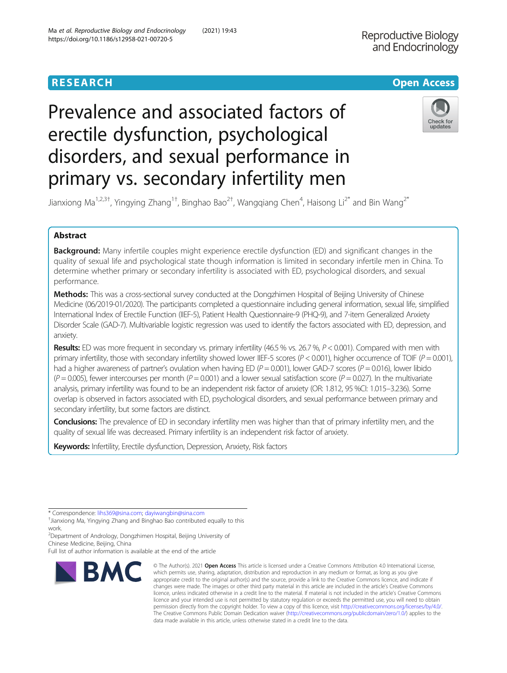# Prevalence and associated factors of erectile dysfunction, psychological disorders, and sexual performance in primary vs. secondary infertility men



Jianxiong Ma<sup>1,2,3†</sup>, Yingying Zhang<sup>1†</sup>, Binghao Bao<sup>2†</sup>, Wangqiang Chen<sup>4</sup>, Haisong Li<sup>2\*</sup> and Bin Wang<sup>2\*</sup>

# Abstract

**Background:** Many infertile couples might experience erectile dysfunction (ED) and significant changes in the quality of sexual life and psychological state though information is limited in secondary infertile men in China. To determine whether primary or secondary infertility is associated with ED, psychological disorders, and sexual performance.

Methods: This was a cross-sectional survey conducted at the Dongzhimen Hospital of Beijing University of Chinese Medicine (06/2019-01/2020). The participants completed a questionnaire including general information, sexual life, simplified International Index of Erectile Function (IIEF-5), Patient Health Questionnaire-9 (PHQ-9), and 7-item Generalized Anxiety Disorder Scale (GAD-7). Multivariable logistic regression was used to identify the factors associated with ED, depression, and anxiety.

Results: ED was more frequent in secondary vs. primary infertility (46.5 % vs. 26.7 %, P < 0.001). Compared with men with primary infertility, those with secondary infertility showed lower IIEF-5 scores ( $P < 0.001$ ), higher occurrence of TOIF ( $P = 0.001$ ), had a higher awareness of partner's ovulation when having ED ( $P = 0.001$ ), lower GAD-7 scores ( $P = 0.016$ ), lower libido  $(P = 0.005)$ , fewer intercourses per month  $(P = 0.001)$  and a lower sexual satisfaction score  $(P = 0.027)$ . In the multivariate analysis, primary infertility was found to be an independent risk factor of anxiety (OR: 1.812, 95 %CI: 1.015–3.236). Some overlap is observed in factors associated with ED, psychological disorders, and sexual performance between primary and secondary infertility, but some factors are distinct.

Conclusions: The prevalence of ED in secondary infertility men was higher than that of primary infertility men, and the quality of sexual life was decreased. Primary infertility is an independent risk factor of anxiety.

Keywords: Infertility, Erectile dysfunction, Depression, Anxiety, Risk factors

\* Correspondence: [lihs369@sina.com;](mailto:lihs369@sina.com) [dayiwangbin@sina.com](mailto:dayiwangbin@sina.com) †

<sup>+</sup>Jianxiong Ma, Yingying Zhang and Binghao Bao contributed equally to this work.

<sup>2</sup>Department of Andrology, Dongzhimen Hospital, Beijing University of Chinese Medicine, Beijing, China

Full list of author information is available at the end of the article



<sup>©</sup> The Author(s), 2021 **Open Access** This article is licensed under a Creative Commons Attribution 4.0 International License, which permits use, sharing, adaptation, distribution and reproduction in any medium or format, as long as you give appropriate credit to the original author(s) and the source, provide a link to the Creative Commons licence, and indicate if changes were made. The images or other third party material in this article are included in the article's Creative Commons licence, unless indicated otherwise in a credit line to the material. If material is not included in the article's Creative Commons licence and your intended use is not permitted by statutory regulation or exceeds the permitted use, you will need to obtain permission directly from the copyright holder. To view a copy of this licence, visit [http://creativecommons.org/licenses/by/4.0/.](http://creativecommons.org/licenses/by/4.0/) The Creative Commons Public Domain Dedication waiver [\(http://creativecommons.org/publicdomain/zero/1.0/](http://creativecommons.org/publicdomain/zero/1.0/)) applies to the data made available in this article, unless otherwise stated in a credit line to the data.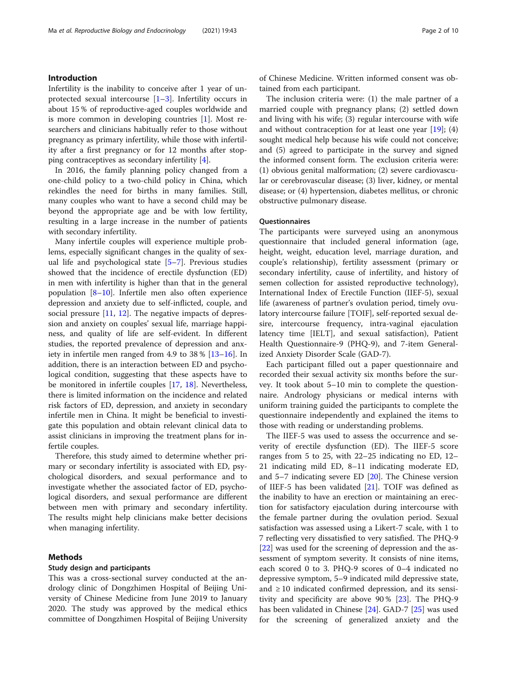# Introduction

Infertility is the inability to conceive after 1 year of unprotected sexual intercourse [\[1](#page-8-0)–[3](#page-8-0)]. Infertility occurs in about 15 % of reproductive-aged couples worldwide and is more common in developing countries [\[1](#page-8-0)]. Most researchers and clinicians habitually refer to those without pregnancy as primary infertility, while those with infertility after a first pregnancy or for 12 months after stopping contraceptives as secondary infertility [\[4](#page-8-0)].

In 2016, the family planning policy changed from a one-child policy to a two-child policy in China, which rekindles the need for births in many families. Still, many couples who want to have a second child may be beyond the appropriate age and be with low fertility, resulting in a large increase in the number of patients with secondary infertility.

Many infertile couples will experience multiple problems, especially significant changes in the quality of sexual life and psychological state [[5](#page-8-0)–[7\]](#page-8-0). Previous studies showed that the incidence of erectile dysfunction (ED) in men with infertility is higher than that in the general population  $[8-10]$  $[8-10]$  $[8-10]$  $[8-10]$ . Infertile men also often experience depression and anxiety due to self-inflicted, couple, and social pressure  $[11, 12]$  $[11, 12]$  $[11, 12]$  $[11, 12]$ . The negative impacts of depression and anxiety on couples' sexual life, marriage happiness, and quality of life are self-evident. In different studies, the reported prevalence of depression and anxiety in infertile men ranged from 4.9 to 38 % [[13](#page-8-0)–[16](#page-8-0)]. In addition, there is an interaction between ED and psychological condition, suggesting that these aspects have to be monitored in infertile couples [[17,](#page-8-0) [18](#page-8-0)]. Nevertheless, there is limited information on the incidence and related risk factors of ED, depression, and anxiety in secondary infertile men in China. It might be beneficial to investigate this population and obtain relevant clinical data to assist clinicians in improving the treatment plans for infertile couples.

Therefore, this study aimed to determine whether primary or secondary infertility is associated with ED, psychological disorders, and sexual performance and to investigate whether the associated factor of ED, psychological disorders, and sexual performance are different between men with primary and secondary infertility. The results might help clinicians make better decisions when managing infertility.

# Methods

# Study design and participants

This was a cross-sectional survey conducted at the andrology clinic of Dongzhimen Hospital of Beijing University of Chinese Medicine from June 2019 to January 2020. The study was approved by the medical ethics committee of Dongzhimen Hospital of Beijing University of Chinese Medicine. Written informed consent was obtained from each participant.

The inclusion criteria were: (1) the male partner of a married couple with pregnancy plans; (2) settled down and living with his wife; (3) regular intercourse with wife and without contraception for at least one year  $[19]$  $[19]$  $[19]$ ;  $(4)$ sought medical help because his wife could not conceive; and (5) agreed to participate in the survey and signed the informed consent form. The exclusion criteria were: (1) obvious genital malformation; (2) severe cardiovascular or cerebrovascular disease; (3) liver, kidney, or mental disease; or (4) hypertension, diabetes mellitus, or chronic obstructive pulmonary disease.

# **Questionnaires**

The participants were surveyed using an anonymous questionnaire that included general information (age, height, weight, education level, marriage duration, and couple's relationship), fertility assessment (primary or secondary infertility, cause of infertility, and history of semen collection for assisted reproductive technology), International Index of Erectile Function (IIEF-5), sexual life (awareness of partner's ovulation period, timely ovulatory intercourse failure [TOIF], self-reported sexual desire, intercourse frequency, intra-vaginal ejaculation latency time [IELT], and sexual satisfaction), Patient Health Questionnaire-9 (PHQ-9), and 7-item Generalized Anxiety Disorder Scale (GAD-7).

Each participant filled out a paper questionnaire and recorded their sexual activity six months before the survey. It took about 5–10 min to complete the questionnaire. Andrology physicians or medical interns with uniform training guided the participants to complete the questionnaire independently and explained the items to those with reading or understanding problems.

The IIEF-5 was used to assess the occurrence and severity of erectile dysfunction (ED). The IIEF-5 score ranges from 5 to 25, with 22–25 indicating no ED, 12– 21 indicating mild ED, 8–11 indicating moderate ED, and 5–7 indicating severe ED [[20](#page-8-0)]. The Chinese version of IIEF-5 has been validated [\[21](#page-8-0)]. TOIF was defined as the inability to have an erection or maintaining an erection for satisfactory ejaculation during intercourse with the female partner during the ovulation period. Sexual satisfaction was assessed using a Likert-7 scale, with 1 to 7 reflecting very dissatisfied to very satisfied. The PHQ-9 [[22\]](#page-9-0) was used for the screening of depression and the assessment of symptom severity. It consists of nine items, each scored 0 to 3. PHQ-9 scores of 0–4 indicated no depressive symptom, 5–9 indicated mild depressive state, and  $\geq 10$  indicated confirmed depression, and its sensitivity and specificity are above 90 % [[23\]](#page-9-0). The PHQ-9 has been validated in Chinese [\[24\]](#page-9-0). GAD-7 [\[25\]](#page-9-0) was used for the screening of generalized anxiety and the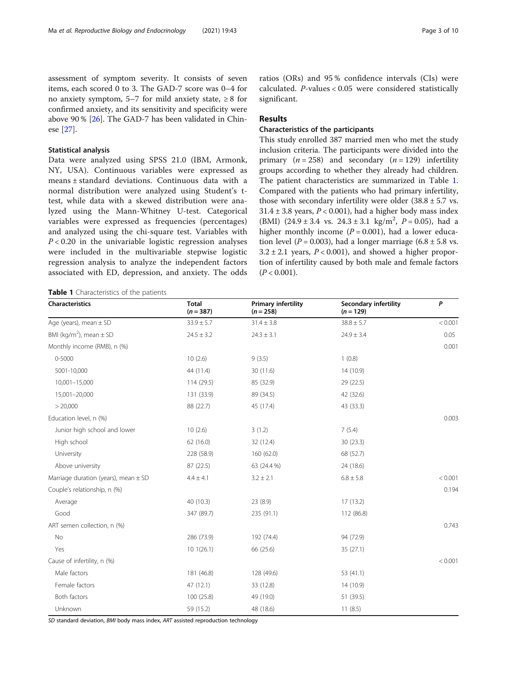assessment of symptom severity. It consists of seven items, each scored 0 to 3. The GAD-7 score was 0–4 for no anxiety symptom, 5–7 for mild anxiety state,  $\geq 8$  for confirmed anxiety, and its sensitivity and specificity were above 90 % [[26\]](#page-9-0). The GAD-7 has been validated in Chinese [\[27](#page-9-0)].

## Statistical analysis

Data were analyzed using SPSS 21.0 (IBM, Armonk, NY, USA). Continuous variables were expressed as means ± standard deviations. Continuous data with a normal distribution were analyzed using Student's ttest, while data with a skewed distribution were analyzed using the Mann-Whitney U-test. Categorical variables were expressed as frequencies (percentages) and analyzed using the chi-square test. Variables with  $P < 0.20$  in the univariable logistic regression analyses were included in the multivariable stepwise logistic regression analysis to analyze the independent factors associated with ED, depression, and anxiety. The odds

ratios (ORs) and 95 % confidence intervals (CIs) were calculated. P-values < 0.05 were considered statistically significant.

# Results

# Characteristics of the participants

This study enrolled 387 married men who met the study inclusion criteria. The participants were divided into the primary  $(n = 258)$  and secondary  $(n = 129)$  infertility groups according to whether they already had children. The patient characteristics are summarized in Table 1. Compared with the patients who had primary infertility, those with secondary infertility were older  $(38.8 \pm 5.7 \text{ vs.})$  $31.4 \pm 3.8$  years,  $P < 0.001$ ), had a higher body mass index (BMI)  $(24.9 \pm 3.4 \text{ vs. } 24.3 \pm 3.1 \text{ kg/m}^2, P = 0.05)$ , had a higher monthly income  $(P = 0.001)$ , had a lower education level ( $P = 0.003$ ), had a longer marriage (6.8  $\pm$  5.8 vs.  $3.2 \pm 2.1$  years,  $P < 0.001$ ), and showed a higher proportion of infertility caused by both male and female factors  $(P < 0.001)$ .

Table 1 Characteristics of the patients

| Characteristics                          | <b>Total</b><br>$(n = 387)$ | <b>Primary infertility</b><br>$(n = 258)$ | <b>Secondary infertility</b><br>$(n = 129)$ | P       |
|------------------------------------------|-----------------------------|-------------------------------------------|---------------------------------------------|---------|
| Age (years), mean $\pm$ SD               | $33.9 \pm 5.7$              | $31.4 \pm 3.8$                            | $38.8 \pm 5.7$                              | < 0.001 |
| BMI (kg/m <sup>2</sup> ), mean $\pm$ SD  | $24.5 \pm 3.2$              | $24.3 \pm 3.1$                            | $24.9 \pm 3.4$                              | 0.05    |
| Monthly income (RMB), n (%)              |                             |                                           |                                             | 0.001   |
| 0-5000                                   | 10(2.6)                     | 9(3.5)                                    | 1(0.8)                                      |         |
| 5001-10,000                              | 44 (11.4)                   | 30 (11.6)                                 | 14 (10.9)                                   |         |
| 10,001-15,000                            | 114 (29.5)                  | 85 (32.9)                                 | 29 (22.5)                                   |         |
| 15,001-20,000                            | 131 (33.9)                  | 89 (34.5)                                 | 42 (32.6)                                   |         |
| > 20,000                                 | 88 (22.7)                   | 45 (17.4)                                 | 43 (33.3)                                   |         |
| Education level, n (%)                   |                             |                                           |                                             | 0.003   |
| Junior high school and lower             | 10(2.6)                     | 3(1.2)                                    | 7(5.4)                                      |         |
| High school                              | 62 (16.0)                   | 32 (12.4)                                 | 30(23.3)                                    |         |
| University                               | 228 (58.9)                  | 160 (62.0)                                | 68 (52.7)                                   |         |
| Above university                         | 87 (22.5)                   | 63 (24.4 %)                               | 24 (18.6)                                   |         |
| Marriage duration (years), mean $\pm$ SD | $4.4 \pm 4.1$               | $3.2 \pm 2.1$                             | $6.8\pm5.8$                                 | < 0.001 |
| Couple's relationship, n (%)             |                             |                                           |                                             | 0.194   |
| Average                                  | 40 (10.3)                   | 23 (8.9)                                  | 17(13.2)                                    |         |
| Good                                     | 347 (89.7)                  | 235 (91.1)                                | 112 (86.8)                                  |         |
| ART semen collection, n (%)              |                             |                                           |                                             | 0.743   |
| No                                       | 286 (73.9)                  | 192 (74.4)                                | 94 (72.9)                                   |         |
| Yes                                      | 101(26.1)                   | 66 (25.6)                                 | 35(27.1)                                    |         |
| Cause of infertility, n (%)              |                             |                                           |                                             | < 0.001 |
| Male factors                             | 181 (46.8)                  | 128 (49.6)                                | 53 (41.1)                                   |         |
| Female factors                           | 47(12.1)                    | 33 (12.8)                                 | 14 (10.9)                                   |         |
| Both factors                             | 100 (25.8)                  | 49 (19.0)                                 | 51 (39.5)                                   |         |
| Unknown                                  | 59 (15.2)                   | 48 (18.6)                                 | 11(8.5)                                     |         |

SD standard deviation, BMI body mass index, ART assisted reproduction technology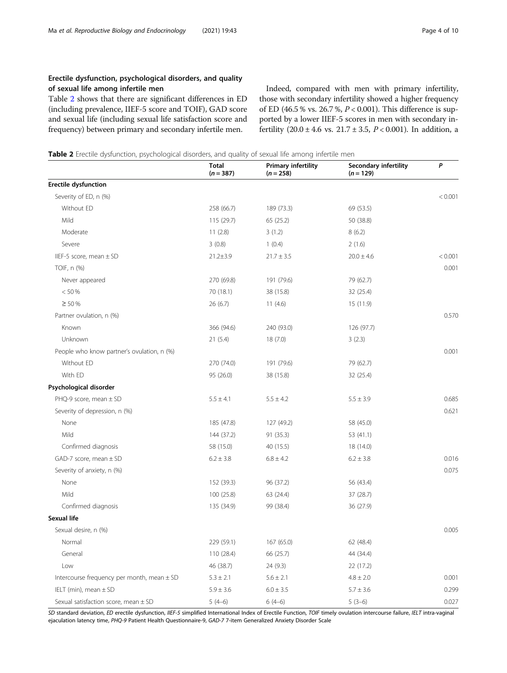# <span id="page-3-0"></span>Erectile dysfunction, psychological disorders, and quality of sexual life among infertile men

Table 2 shows that there are significant differences in ED (including prevalence, IIEF-5 score and TOIF), GAD score and sexual life (including sexual life satisfaction score and frequency) between primary and secondary infertile men.

Indeed, compared with men with primary infertility, those with secondary infertility showed a higher frequency of ED (46.5 % vs. 26.7 %,  $P < 0.001$ ). This difference is supported by a lower IIEF-5 scores in men with secondary infertility  $(20.0 \pm 4.6 \text{ vs. } 21.7 \pm 3.5, P < 0.001)$ . In addition, a

Table 2 Erectile dysfunction, psychological disorders, and quality of sexual life among infertile men

|                                                | Total<br>$(n = 387)$ | <b>Primary infertility</b><br>$(n = 258)$ | Secondary infertility<br>$(n = 129)$ | P       |
|------------------------------------------------|----------------------|-------------------------------------------|--------------------------------------|---------|
| <b>Erectile dysfunction</b>                    |                      |                                           |                                      |         |
| Severity of ED, n (%)                          |                      |                                           |                                      | < 0.001 |
| Without ED                                     | 258 (66.7)           | 189 (73.3)                                | 69 (53.5)                            |         |
| Mild                                           | 115 (29.7)           | 65 (25.2)                                 | 50 (38.8)                            |         |
| Moderate                                       | 11(2.8)              | 3(1.2)                                    | 8(6.2)                               |         |
| Severe                                         | 3(0.8)               | 1(0.4)                                    | 2(1.6)                               |         |
| IIEF-5 score, mean $\pm$ SD                    | $21.2 \pm 3.9$       | $21.7 \pm 3.5$                            | $20.0 \pm 4.6$                       | < 0.001 |
| TOIF, n (%)                                    |                      |                                           |                                      | 0.001   |
| Never appeared                                 | 270 (69.8)           | 191 (79.6)                                | 79 (62.7)                            |         |
| < 50 %                                         | 70 (18.1)            | 38 (15.8)                                 | 32 (25.4)                            |         |
| $\geq 50 \%$                                   | 26(6.7)              | 11(4.6)                                   | 15 (11.9)                            |         |
| Partner ovulation, n (%)                       |                      |                                           |                                      | 0.570   |
| Known                                          | 366 (94.6)           | 240 (93.0)                                | 126 (97.7)                           |         |
| Unknown                                        | 21(5.4)              | 18(7.0)                                   | 3(2.3)                               |         |
| People who know partner's ovulation, n (%)     |                      |                                           |                                      | 0.001   |
| Without ED                                     | 270 (74.0)           | 191 (79.6)                                | 79 (62.7)                            |         |
| With ED                                        | 95 (26.0)            | 38 (15.8)                                 | 32 (25.4)                            |         |
| Psychological disorder                         |                      |                                           |                                      |         |
| PHQ-9 score, mean ± SD                         | $5.5 \pm 4.1$        | $5.5 \pm 4.2$                             | $5.5 \pm 3.9$                        | 0.685   |
| Severity of depression, n (%)                  |                      |                                           |                                      | 0.621   |
| None                                           | 185 (47.8)           | 127 (49.2)                                | 58 (45.0)                            |         |
| Mild                                           | 144 (37.2)           | 91 (35.3)                                 | 53 (41.1)                            |         |
| Confirmed diagnosis                            | 58 (15.0)            | 40 (15.5)                                 | 18 (14.0)                            |         |
| GAD-7 score, mean $\pm$ SD                     | $6.2 \pm 3.8$        | $6.8 \pm 4.2$                             | $6.2 \pm 3.8$                        | 0.016   |
| Severity of anxiety, n (%)                     |                      |                                           |                                      | 0.075   |
| None                                           | 152 (39.3)           | 96 (37.2)                                 | 56 (43.4)                            |         |
| Mild                                           | 100(25.8)            | 63 (24.4)                                 | 37 (28.7)                            |         |
| Confirmed diagnosis                            | 135 (34.9)           | 99 (38.4)                                 | 36 (27.9)                            |         |
| Sexual life                                    |                      |                                           |                                      |         |
| Sexual desire, n (%)                           |                      |                                           |                                      | 0.005   |
| Normal                                         | 229 (59.1)           | 167 (65.0)                                | 62 (48.4)                            |         |
| General                                        | 110 (28.4)           | 66 (25.7)                                 | 44 (34.4)                            |         |
| Low                                            | 46 (38.7)            | 24 (9.3)                                  | 22 (17.2)                            |         |
| Intercourse frequency per month, mean $\pm$ SD | $5.3 \pm 2.1$        | $5.6 \pm 2.1$                             | $4.8 \pm 2.0$                        | 0.001   |
| IELT (min), mean $\pm$ SD                      | $5.9 \pm 3.6$        | $6.0 \pm 3.5$                             | $5.7 \pm 3.6$                        | 0.299   |
| Sexual satisfaction score, mean ± SD           | $5(4-6)$             | $6(4-6)$                                  | $5(3-6)$                             | 0.027   |

SD standard deviation, ED erectile dysfunction, IIEF-5 simplified International Index of Erectile Function, TOIF timely ovulation intercourse failure, IELT intra-vaginal ejaculation latency time, PHQ-9 Patient Health Questionnaire-9, GAD-7 7-item Generalized Anxiety Disorder Scale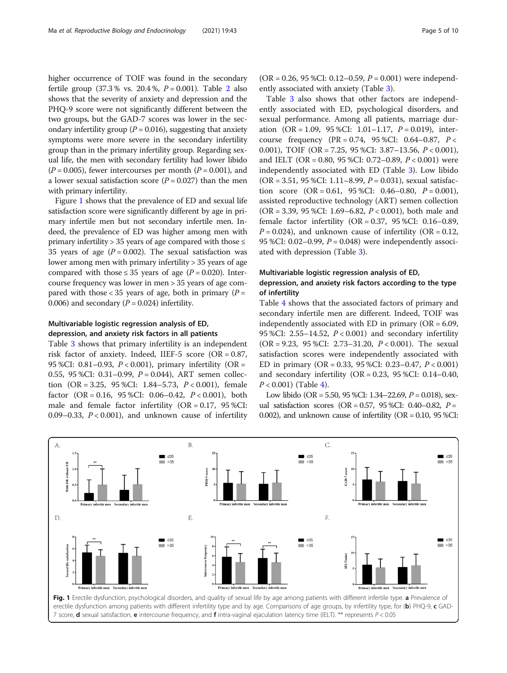higher occurrence of TOIF was found in the secondary fertile group  $(37.3\% \text{ vs. } 20.4\%, P = 0.001)$  $(37.3\% \text{ vs. } 20.4\%, P = 0.001)$  $(37.3\% \text{ vs. } 20.4\%, P = 0.001)$ . Table 2 also shows that the severity of anxiety and depression and the PHQ-9 score were not significantly different between the two groups, but the GAD-7 scores was lower in the secondary infertility group ( $P = 0.016$ ), suggesting that anxiety symptoms were more severe in the secondary infertility group than in the primary infertility group. Regarding sexual life, the men with secondary fertility had lower libido  $(P = 0.005)$ , fewer intercourses per month  $(P = 0.001)$ , and a lower sexual satisfaction score  $(P = 0.027)$  than the men with primary infertility.

Figure 1 shows that the prevalence of ED and sexual life satisfaction score were significantly different by age in primary infertile men but not secondary infertile men. Indeed, the prevalence of ED was higher among men with primary infertility > 35 years of age compared with those  $\leq$ 35 years of age  $(P = 0.002)$ . The sexual satisfaction was lower among men with primary infertility > 35 years of age compared with those  $\leq$  35 years of age (P = 0.020). Intercourse frequency was lower in men > 35 years of age compared with those < 35 years of age, both in primary  $(P =$ 0.006) and secondary  $(P = 0.024)$  infertility.

# Multivariable logistic regression analysis of ED, depression, and anxiety risk factors in all patients

Table [3](#page-5-0) shows that primary infertility is an independent risk factor of anxiety. Indeed, IIEF-5 score  $(OR = 0.87,$ 95 %CI: 0.81–0.93, P < 0.001), primary infertility (OR = 0.55, 95 %CI: 0.31–0.99,  $P = 0.044$ ), ART semen collection  $(OR = 3.25, 95 %CI: 1.84–5.73, P < 0.001)$ , female factor (OR = 0.16, 95 %CI: 0.06–0.42,  $P < 0.001$ ), both male and female factor infertility  $(OR = 0.17, 95\% CI:$ 0.09–0.33,  $P < 0.001$ ), and unknown cause of infertility

 $(OR = 0.26, 95 %CI: 0.12–0.59, P = 0.001)$  were independently associated with anxiety (Table [3\)](#page-5-0).

Table [3](#page-5-0) also shows that other factors are independently associated with ED, psychological disorders, and sexual performance. Among all patients, marriage duration  $(OR = 1.09, 95 %CI: 1.01-1.17, P = 0.019)$ , intercourse frequency (PR = 0.74, 95 %CI: 0.64–0.87,  $P <$ 0.001), TOIF (OR = 7.25, 95 %CI: 3.87–13.56, P < 0.001), and IELT (OR = 0.80, 95 %CI: 0.72–0.89,  $P < 0.001$ ) were independently associated with ED (Table [3\)](#page-5-0). Low libido (OR = 3.51, 95 %CI: 1.11–8.99,  $P = 0.031$ ), sexual satisfaction score  $(OR = 0.61, 95 %CI: 0.46-0.80, P = 0.001)$ , assisted reproductive technology (ART) semen collection  $(OR = 3.39, 95 %CI: 1.69–6.82, P < 0.001)$ , both male and female factor infertility (OR = 0.37, 95 %CI: 0.16–0.89,  $P = 0.024$ ), and unknown cause of infertility (OR = 0.12, 95 %CI: 0.02–0.99,  $P = 0.048$ ) were independently associated with depression (Table [3](#page-5-0)).

# Multivariable logistic regression analysis of ED, depression, and anxiety risk factors according to the type of infertility

Table [4](#page-6-0) shows that the associated factors of primary and secondary infertile men are different. Indeed, TOIF was independently associated with ED in primary  $(OR = 6.09,$ 95 %CI: 2.55–14.52, P < 0.001) and secondary infertility (OR = 9.23, 95 %CI: 2.73-31.20,  $P < 0.001$ ). The sexual satisfaction scores were independently associated with ED in primary (OR = 0.33, 95 %CI: 0.23–0.47,  $P < 0.001$ ) and secondary infertility (OR =  $0.23$ ,  $95$  %CI:  $0.14 - 0.40$ ,  $P < 0.001$ ) (Table [4](#page-6-0)).

Low libido (OR = 5.50, 95 %CI: 1.34–22.69,  $P = 0.018$ ), sexual satisfaction scores (OR =  $0.57$ , 95 %CI: 0.40–0.82, P = 0.002), and unknown cause of infertility ( $OR = 0.10$ ,  $95$  %CI:



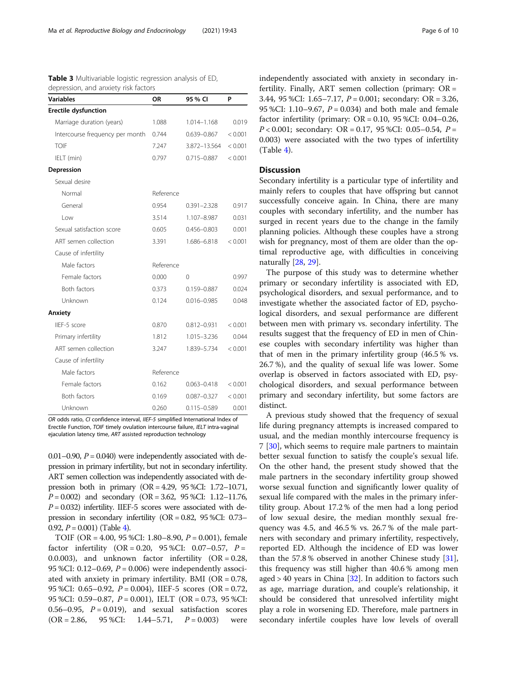| <b>Variables</b>                | OR        | 95 % CI         | P       |  |
|---------------------------------|-----------|-----------------|---------|--|
| <b>Erectile dysfunction</b>     |           |                 |         |  |
| Marriage duration (years)       | 1.088     | 1.014-1.168     | 0.019   |  |
| Intercourse frequency per month | 0.744     | 0.639-0.867     | < 0.001 |  |
| <b>TOIF</b>                     | 7.247     | 3.872-13.564    | < 0.001 |  |
| IELT (min)                      | 0.797     | 0.715-0.887     | < 0.001 |  |
| Depression                      |           |                 |         |  |
| Sexual desire                   |           |                 |         |  |
| Normal                          | Reference |                 |         |  |
| General                         | 0.954     | $0.391 - 2.328$ | 0.917   |  |
| Low                             | 3.514     | 1.107-8.987     | 0.031   |  |
| Sexual satisfaction score       | 0.605     | $0.456 - 0.803$ | 0.001   |  |
| ART semen collection            | 3.391     | 1.686-6.818     | < 0.001 |  |
| Cause of infertility            |           |                 |         |  |
| Male factors                    | Reference |                 |         |  |
| Female factors                  | 0.000     | $\Omega$        | 0.997   |  |
| Both factors                    | 0.373     | 0.159-0.887     | 0.024   |  |
| Unknown                         | 0.124     | $0.016 - 0.985$ | 0.048   |  |
| Anxiety                         |           |                 |         |  |
| IIEF-5 score                    | 0.870     | 0.812-0.931     | < 0.001 |  |
| Primary infertility             | 1.812     | 1.015-3.236     | 0.044   |  |
| ART semen collection            | 3.247     | 1.839-5.734     | < 0.001 |  |
| Cause of infertility            |           |                 |         |  |
| Male factors                    | Reference |                 |         |  |
| Female factors                  | 0.162     | $0.063 - 0.418$ | < 0.001 |  |
| Both factors                    | 0.169     | $0.087 - 0.327$ | < 0.001 |  |
| Unknown                         | 0.260     | $0.115 - 0.589$ | 0.001   |  |

<span id="page-5-0"></span>Table 3 Multivariable logistic regression analysis of ED, depression, and anxiety risk factors

OR odds ratio, CI confidence interval, IIEF-5 simplified International Index of Erectile Function, TOIF timely ovulation intercourse failure, IELT intra-vaginal ejaculation latency time, ART assisted reproduction technology

0.01–0.90,  $P = 0.040$ ) were independently associated with depression in primary infertility, but not in secondary infertility. ART semen collection was independently associated with depression both in primary (OR = 4.29, 95 %CI: 1.72–10.71,  $P = 0.002$ ) and secondary (OR = 3.62, 95 %CI: 1.12–11.76,  $P = 0.032$ ) infertility. IIEF-5 scores were associated with depression in secondary infertility (OR = 0.82, 95 %CI: 0.73– 0.92,  $P = 0.001$ ) (Table [4\)](#page-6-0).

TOIF (OR = 4.00, 95 %CI: 1.80–8.90,  $P = 0.001$ ), female factor infertility  $(OR = 0.20, 95 %CI: 0.07-0.57, P =$ 0.0.003), and unknown factor infertility  $(OR = 0.28,$ 95 %CI: 0.12–0.69,  $P = 0.006$ ) were independently associated with anxiety in primary infertility. BMI (OR = 0.78, 95 %CI: 0.65–0.92,  $P = 0.004$ ), IIEF-5 scores (OR = 0.72, 95 %CI: 0.59–0.87, P = 0.001), IELT (OR = 0.73, 95 %CI: 0.56–0.95,  $P = 0.019$ , and sexual satisfaction scores  $(OR = 2.86, 95 %CI: 1.44-5.71, P = 0.003)$  were independently associated with anxiety in secondary infertility. Finally, ART semen collection (primary:  $OR =$ 3.44, 95 %CI: 1.65–7.17,  $P = 0.001$ ; secondary: OR = 3.26, 95 %CI: 1.10–9.67,  $P = 0.034$ ) and both male and female factor infertility (primary:  $OR = 0.10$ ,  $95$  %CI:  $0.04 - 0.26$ ,  $P < 0.001$ ; secondary: OR = 0.17, 95 %CI: 0.05-0.54,  $P =$ 0.003) were associated with the two types of infertility  $(Table 4)$  $(Table 4)$ .

# **Discussion**

Secondary infertility is a particular type of infertility and mainly refers to couples that have offspring but cannot successfully conceive again. In China, there are many couples with secondary infertility, and the number has surged in recent years due to the change in the family planning policies. Although these couples have a strong wish for pregnancy, most of them are older than the optimal reproductive age, with difficulties in conceiving naturally [[28,](#page-9-0) [29](#page-9-0)].

The purpose of this study was to determine whether primary or secondary infertility is associated with ED, psychological disorders, and sexual performance, and to investigate whether the associated factor of ED, psychological disorders, and sexual performance are different between men with primary vs. secondary infertility. The results suggest that the frequency of ED in men of Chinese couples with secondary infertility was higher than that of men in the primary infertility group (46.5 % vs. 26.7 %), and the quality of sexual life was lower. Some overlap is observed in factors associated with ED, psychological disorders, and sexual performance between primary and secondary infertility, but some factors are distinct.

A previous study showed that the frequency of sexual life during pregnancy attempts is increased compared to usual, and the median monthly intercourse frequency is 7 [[30\]](#page-9-0), which seems to require male partners to maintain better sexual function to satisfy the couple's sexual life. On the other hand, the present study showed that the male partners in the secondary infertility group showed worse sexual function and significantly lower quality of sexual life compared with the males in the primary infertility group. About 17.2 % of the men had a long period of low sexual desire, the median monthly sexual frequency was 4.5, and 46.5 % vs. 26.7 % of the male partners with secondary and primary infertility, respectively, reported ED. Although the incidence of ED was lower than the 57.8 % observed in another Chinese study  $[31]$  $[31]$ , this frequency was still higher than 40.6 % among men aged  $> 40$  years in China [\[32\]](#page-9-0). In addition to factors such as age, marriage duration, and couple's relationship, it should be considered that unresolved infertility might play a role in worsening ED. Therefore, male partners in secondary infertile couples have low levels of overall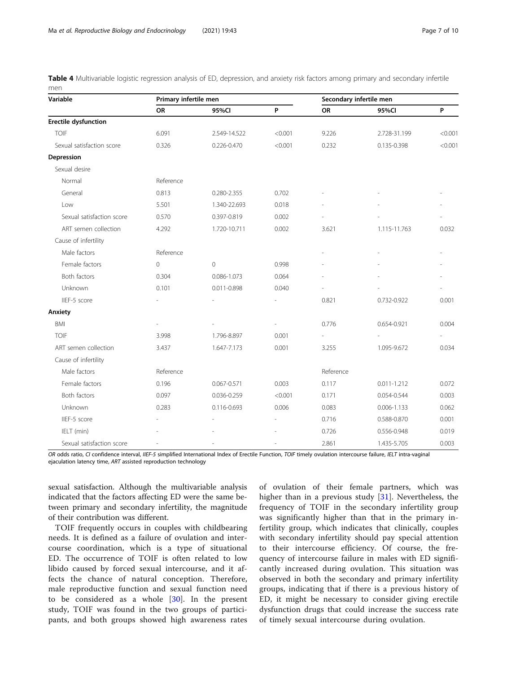<span id="page-6-0"></span>Table 4 Multivariable logistic regression analysis of ED, depression, and anxiety risk factors among primary and secondary infertile men

| Variable                    | Primary infertile men |              |         | Secondary infertile men  |                 |         |
|-----------------------------|-----------------------|--------------|---------|--------------------------|-----------------|---------|
|                             | <b>OR</b>             | 95%CI        | P       | <b>OR</b>                | 95%CI           | P       |
| <b>Erectile dysfunction</b> |                       |              |         |                          |                 |         |
| <b>TOIF</b>                 | 6.091                 | 2.549-14.522 | < 0.001 | 9.226                    | 2.728-31.199    | < 0.001 |
| Sexual satisfaction score   | 0.326                 | 0.226-0.470  | < 0.001 | 0.232                    | 0.135-0.398     | < 0.001 |
| Depression                  |                       |              |         |                          |                 |         |
| Sexual desire               |                       |              |         |                          |                 |         |
| Normal                      | Reference             |              |         |                          |                 |         |
| General                     | 0.813                 | 0.280-2.355  | 0.702   |                          |                 |         |
| Low                         | 5.501                 | 1.340-22.693 | 0.018   |                          |                 |         |
| Sexual satisfaction score   | 0.570                 | 0.397-0.819  | 0.002   |                          |                 |         |
| ART semen collection        | 4.292                 | 1.720-10.711 | 0.002   | 3.621                    | 1.115-11.763    | 0.032   |
| Cause of infertility        |                       |              |         |                          |                 |         |
| Male factors                | Reference             |              |         |                          |                 |         |
| Female factors              | $\circ$               | $\circ$      | 0.998   |                          |                 |         |
| Both factors                | 0.304                 | 0.086-1.073  | 0.064   |                          |                 |         |
| Unknown                     | 0.101                 | 0.011-0.898  | 0.040   |                          |                 |         |
| IIEF-5 score                |                       |              |         | 0.821                    | 0.732-0.922     | 0.001   |
| Anxiety                     |                       |              |         |                          |                 |         |
| <b>BMI</b>                  |                       |              |         | 0.776                    | 0.654-0.921     | 0.004   |
| <b>TOIF</b>                 | 3.998                 | 1.796-8.897  | 0.001   | $\overline{\phantom{a}}$ |                 |         |
| ART semen collection        | 3.437                 | 1.647-7.173  | 0.001   | 3.255                    | 1.095-9.672     | 0.034   |
| Cause of infertility        |                       |              |         |                          |                 |         |
| Male factors                | Reference             |              |         | Reference                |                 |         |
| Female factors              | 0.196                 | 0.067-0.571  | 0.003   | 0.117                    | $0.011 - 1.212$ | 0.072   |
| Both factors                | 0.097                 | 0.036-0.259  | < 0.001 | 0.171                    | 0.054-0.544     | 0.003   |
| Unknown                     | 0.283                 | 0.116-0.693  | 0.006   | 0.083                    | $0.006 - 1.133$ | 0.062   |
| IIEF-5 score                |                       |              |         | 0.716                    | 0.588-0.870     | 0.001   |
| IELT (min)                  |                       |              |         | 0.726                    | 0.556-0.948     | 0.019   |
| Sexual satisfaction score   |                       |              |         | 2.861                    | 1.435-5.705     | 0.003   |

OR odds ratio, CI confidence interval, IIEF-5 simplified International Index of Erectile Function, TOIF timely ovulation intercourse failure, IELT intra-vaginal ejaculation latency time, ART assisted reproduction technology

sexual satisfaction. Although the multivariable analysis indicated that the factors affecting ED were the same between primary and secondary infertility, the magnitude of their contribution was different.

TOIF frequently occurs in couples with childbearing needs. It is defined as a failure of ovulation and intercourse coordination, which is a type of situational ED. The occurrence of TOIF is often related to low libido caused by forced sexual intercourse, and it affects the chance of natural conception. Therefore, male reproductive function and sexual function need to be considered as a whole [[30\]](#page-9-0). In the present study, TOIF was found in the two groups of participants, and both groups showed high awareness rates

of ovulation of their female partners, which was higher than in a previous study [[31](#page-9-0)]. Nevertheless, the frequency of TOIF in the secondary infertility group was significantly higher than that in the primary infertility group, which indicates that clinically, couples with secondary infertility should pay special attention to their intercourse efficiency. Of course, the frequency of intercourse failure in males with ED significantly increased during ovulation. This situation was observed in both the secondary and primary infertility groups, indicating that if there is a previous history of ED, it might be necessary to consider giving erectile dysfunction drugs that could increase the success rate of timely sexual intercourse during ovulation.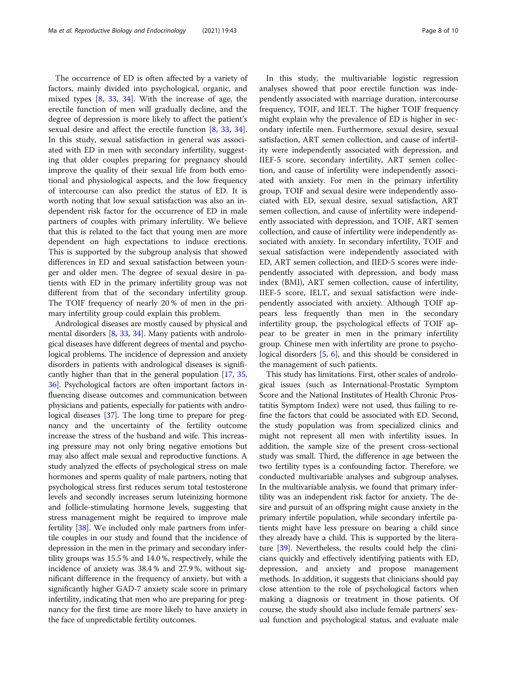The occurrence of ED is often affected by a variety of factors, mainly divided into psychological, organic, and mixed types [\[8](#page-8-0), [33,](#page-9-0) [34\]](#page-9-0). With the increase of age, the erectile function of men will gradually decline, and the degree of depression is more likely to affect the patient's sexual desire and affect the erectile function [[8,](#page-8-0) [33,](#page-9-0) [34](#page-9-0)]. In this study, sexual satisfaction in general was associated with ED in men with secondary infertility, suggesting that older couples preparing for pregnancy should improve the quality of their sexual life from both emotional and physiological aspects, and the low frequency of intercourse can also predict the status of ED. It is worth noting that low sexual satisfaction was also an independent risk factor for the occurrence of ED in male partners of couples with primary infertility. We believe that this is related to the fact that young men are more dependent on high expectations to induce erections. This is supported by the subgroup analysis that showed differences in ED and sexual satisfaction between younger and older men. The degree of sexual desire in patients with ED in the primary infertility group was not different from that of the secondary infertility group. The TOIF frequency of nearly 20 % of men in the primary infertility group could explain this problem.

Andrological diseases are mostly caused by physical and mental disorders [[8](#page-8-0), [33,](#page-9-0) [34\]](#page-9-0). Many patients with andrological diseases have different degrees of mental and psychological problems. The incidence of depression and anxiety disorders in patients with andrological diseases is significantly higher than that in the general population [[17](#page-8-0), [35](#page-9-0), [36](#page-9-0)]. Psychological factors are often important factors influencing disease outcomes and communication between physicians and patients, especially for patients with andrological diseases [\[37\]](#page-9-0). The long time to prepare for pregnancy and the uncertainty of the fertility outcome increase the stress of the husband and wife. This increasing pressure may not only bring negative emotions but may also affect male sexual and reproductive functions. A study analyzed the effects of psychological stress on male hormones and sperm quality of male partners, noting that psychological stress first reduces serum total testosterone levels and secondly increases serum luteinizing hormone and follicle-stimulating hormone levels, suggesting that stress management might be required to improve male fertility [[38](#page-9-0)]. We included only male partners from infertile couples in our study and found that the incidence of depression in the men in the primary and secondary infertility groups was 15.5 % and 14.0 %, respectively, while the incidence of anxiety was 38.4 % and 27.9 %, without significant difference in the frequency of anxiety, but with a significantly higher GAD-7 anxiety scale score in primary infertility, indicating that men who are preparing for pregnancy for the first time are more likely to have anxiety in the face of unpredictable fertility outcomes.

In this study, the multivariable logistic regression analyses showed that poor erectile function was independently associated with marriage duration, intercourse frequency, TOIF, and IELT. The higher TOIF frequency might explain why the prevalence of ED is higher in secondary infertile men. Furthermore, sexual desire, sexual satisfaction, ART semen collection, and cause of infertility were independently associated with depression, and IIEF-5 score, secondary infertility, ART semen collection, and cause of infertility were independently associated with anxiety. For men in the primary infertility group, TOIF and sexual desire were independently associated with ED, sexual desire, sexual satisfaction, ART semen collection, and cause of infertility were independently associated with depression, and TOIF, ART semen collection, and cause of infertility were independently associated with anxiety. In secondary infertility, TOIF and sexual satisfaction were independently associated with ED, ART semen collection, and IIED-5 scores were independently associated with depression, and body mass index (BMI), ART semen collection, cause of infertility, IIEF-5 score, IELT, and sexual satisfaction were independently associated with anxiety. Although TOIF appears less frequently than men in the secondary infertility group, the psychological effects of TOIF appear to be greater in men in the primary infertility group. Chinese men with infertility are prone to psychological disorders [\[5](#page-8-0), [6\]](#page-8-0), and this should be considered in the management of such patients.

This study has limitations. First, other scales of andrological issues (such as International-Prostatic Symptom Score and the National Institutes of Health Chronic Prostatitis Symptom Index) were not used, thus failing to refine the factors that could be associated with ED. Second, the study population was from specialized clinics and might not represent all men with infertility issues. In addition, the sample size of the present cross-sectional study was small. Third, the difference in age between the two fertility types is a confounding factor. Therefore, we conducted multivariable analyses and subgroup analyses. In the multivariable analysis, we found that primary infertility was an independent risk factor for anxiety. The desire and pursuit of an offspring might cause anxiety in the primary infertile population, while secondary infertile patients might have less pressure on bearing a child since they already have a child. This is supported by the literature [\[39](#page-9-0)]. Nevertheless, the results could help the clinicians quickly and effectively identifying patients with ED, depression, and anxiety and propose management methods. In addition, it suggests that clinicians should pay close attention to the role of psychological factors when making a diagnosis or treatment in those patients. Of course, the study should also include female partners' sexual function and psychological status, and evaluate male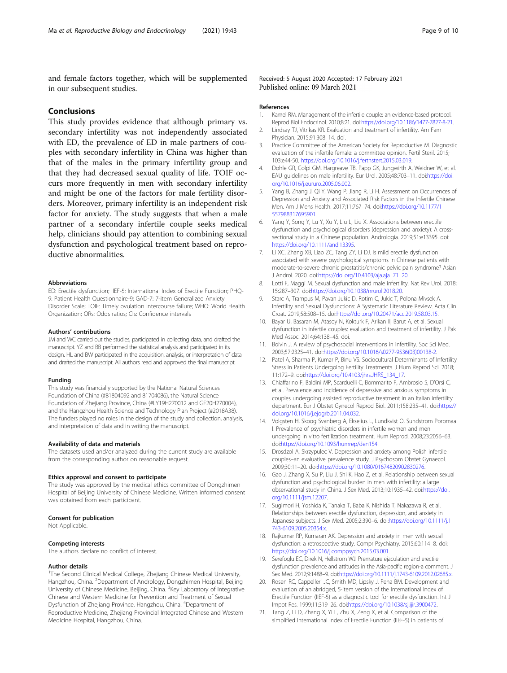<span id="page-8-0"></span>and female factors together, which will be supplemented in our subsequent studies.

# Conclusions

This study provides evidence that although primary vs. secondary infertility was not independently associated with ED, the prevalence of ED in male partners of couples with secondary infertility in China was higher than that of the males in the primary infertility group and that they had decreased sexual quality of life. TOIF occurs more frequently in men with secondary infertility and might be one of the factors for male fertility disorders. Moreover, primary infertility is an independent risk factor for anxiety. The study suggests that when a male partner of a secondary infertile couple seeks medical help, clinicians should pay attention to combining sexual dysfunction and psychological treatment based on reproductive abnormalities.

#### Abbreviations

ED: Erectile dysfunction; IIEF-5: International Index of Erectile Function; PHQ-9: Patient Health Questionnaire-9; GAD-7: 7-item Generalized Anxiety Disorder Scale; TOIF: Timely ovulation intercourse failure; WHO: World Health Organization; ORs: Odds ratios; CIs: Confidence intervals

#### Authors' contributions

JM and WC carried out the studies, participated in collecting data, and drafted the manuscript. YZ and BB performed the statistical analysis and participated in its design. HL and BW participated in the acquisition, analysis, or interpretation of data and drafted the manuscript. All authors read and approved the final manuscript.

#### Funding

This study was financially supported by the National Natural Sciences Foundation of China (#81804092 and 81704086), the Natural Science Foundation of Zhejiang Province, China (#LY19H270012 and GF20H270004), and the Hangzhou Health Science and Technology Plan Project (#2018A38). The funders played no roles in the design of the study and collection, analysis, and interpretation of data and in writing the manuscript.

#### Availability of data and materials

The datasets used and/or analyzed during the current study are available from the corresponding author on reasonable request.

#### Ethics approval and consent to participate

The study was approved by the medical ethics committee of Dongzhimen Hospital of Beijing University of Chinese Medicine. Written informed consent was obtained from each participant.

#### Consent for publication

Not Applicable.

#### Competing interests

The authors declare no conflict of interest.

#### Author details

<sup>1</sup>The Second Clinical Medical College, Zhejiang Chinese Medical University, Hangzhou, China. <sup>2</sup>Department of Andrology, Dongzhimen Hospital, Beijing University of Chinese Medicine, Beijing, China. <sup>3</sup>Key Laboratory of Integrative Chinese and Western Medicine for Prevention and Treatment of Sexual Dysfunction of Zhejiang Province, Hangzhou, China. <sup>4</sup>Department of Reproductive Medicine, Zhejiang Provincial Integrated Chinese and Western Medicine Hospital, Hangzhou, China.

### Received: 5 August 2020 Accepted: 17 February 2021 Published online: 09 March 2021

#### References

- 1. Kamel RM. Management of the infertile couple: an evidence-based protocol. Reprod Biol Endocrinol. 2010;8:21. doi:<https://doi.org/10.1186/1477-7827-8-21>.
- 2. Lindsay TJ, Vitrikas KR. Evaluation and treatment of infertility. Am Fam Physician. 2015;91:308–14. doi.
- 3. Practice Committee of the American Society for Reproductive M. Diagnostic evaluation of the infertile female: a committee opinion. Fertil Steril. 2015; 103:e44-50. <https://doi.org/10.1016/j.fertnstert.2015.03.019>.
- 4. Dohle GR, Colpi GM, Hargreave TB, Papp GK, Jungwirth A, Weidner W, et al. EAU guidelines on male infertility. Eur Urol. 2005;48:703–11. doi:[https://doi.](https://doi.org/10.1016/j.eururo.2005.06.002) [org/10.1016/j.eururo.2005.06.002.](https://doi.org/10.1016/j.eururo.2005.06.002)
- Yang B, Zhang J, Qi Y, Wang P, Jiang R, Li H. Assessment on Occurrences of Depression and Anxiety and Associated Risk Factors in the Infertile Chinese Men. Am J Mens Health. 2017;11:767–74. doi:[https://doi.org/10.1177/1](https://doi.org/10.1177/1557988317695901) [557988317695901.](https://doi.org/10.1177/1557988317695901)
- 6. Yang Y, Song Y, Lu Y, Xu Y, Liu L, Liu X. Associations between erectile dysfunction and psychological disorders (depression and anxiety): A crosssectional study in a Chinese population. Andrologia. 2019;51:e13395. doi: <https://doi.org/10.1111/and.13395>.
- 7. Li XC, Zhang XB, Liao ZC, Tang ZY, Li DJ. Is mild erectile dysfunction associated with severe psychological symptoms in Chinese patients with moderate-to-severe chronic prostatitis/chronic pelvic pain syndrome? Asian J Androl. 2020. doi[:https://doi.org/10.4103/aja.aja\\_71\\_20.](https://doi.org/10.4103/aja.aja_71_20)
- 8. Lotti F, Maggi M. Sexual dysfunction and male infertility. Nat Rev Urol. 2018; 15:287–307. doi[:https://doi.org/10.1038/nrurol.2018.20](https://doi.org/10.1038/nrurol.2018.20).
- 9. Starc A, Trampus M, Pavan Jukic D, Rotim C, Jukic T, Polona Mivsek A. Infertility and Sexual Dysfunctions: A Systematic Literature Review. Acta Clin Croat. 2019;58:508–15. doi[:https://doi.org/10.20471/acc.2019.58.03.15](https://doi.org/10.20471/acc.2019.58.03.15).
- 10. Bayar U, Basaran M, Atasoy N, Kokturk F, Arikan II, Barut A, et al. Sexual dysfunction in infertile couples: evaluation and treatment of infertility. J Pak Med Assoc. 2014;64:138–45. doi.
- 11. Boivin J. A review of psychosocial interventions in infertility. Soc Sci Med. 2003;57:2325–41. doi[:https://doi.org/10.1016/s0277-9536\(03\)00138-2.](https://doi.org/10.1016/s0277-9536(03)00138-2)
- 12. Patel A, Sharma P, Kumar P, Binu VS. Sociocultural Determinants of Infertility Stress in Patients Undergoing Fertility Treatments. J Hum Reprod Sci. 2018; 11:172–9. doi:[https://doi.org/10.4103/jhrs.JHRS\\_134\\_17.](https://doi.org/10.4103/jhrs.JHRS_134_17)
- 13. Chiaffarino F, Baldini MP, Scarduelli C, Bommarito F, Ambrosio S, D'Orsi C, et al. Prevalence and incidence of depressive and anxious symptoms in couples undergoing assisted reproductive treatment in an Italian infertility department. Eur J Obstet Gynecol Reprod Biol. 2011;158:235–41. doi:[https://](https://doi.org/10.1016/j.ejogrb.2011.04.032) [doi.org/10.1016/j.ejogrb.2011.04.032.](https://doi.org/10.1016/j.ejogrb.2011.04.032)
- 14. Volgsten H, Skoog Svanberg A, Ekselius L, Lundkvist O, Sundstrom Poromaa I. Prevalence of psychiatric disorders in infertile women and men undergoing in vitro fertilization treatment. Hum Reprod. 2008;23:2056–63. doi[:https://doi.org/10.1093/humrep/den154.](https://doi.org/10.1093/humrep/den154)
- 15. Drosdzol A, Skrzypulec V. Depression and anxiety among Polish infertile couples–an evaluative prevalence study. J Psychosom Obstet Gynaecol. 2009;30:11–20. doi[:https://doi.org/10.1080/01674820902830276.](https://doi.org/10.1080/01674820902830276)
- 16. Gao J, Zhang X, Su P, Liu J, Shi K, Hao Z, et al. Relationship between sexual dysfunction and psychological burden in men with infertility: a large observational study in China. J Sex Med. 2013;10:1935–42. doi[:https://doi.](https://doi.org/10.1111/jsm.12207) [org/10.1111/jsm.12207](https://doi.org/10.1111/jsm.12207).
- 17. Sugimori H, Yoshida K, Tanaka T, Baba K, Nishida T, Nakazawa R, et al. Relationships between erectile dysfunction, depression, and anxiety in Japanese subjects. J Sex Med. 2005;2:390–6. doi:[https://doi.org/10.1111/j.1](https://doi.org/10.1111/j.1743-6109.2005.20354.x) [743-6109.2005.20354.x](https://doi.org/10.1111/j.1743-6109.2005.20354.x).
- 18. Rajkumar RP, Kumaran AK. Depression and anxiety in men with sexual dysfunction: a retrospective study. Compr Psychiatry. 2015;60:114–8. doi: [https://doi.org/10.1016/j.comppsych.2015.03.001.](https://doi.org/10.1016/j.comppsych.2015.03.001)
- 19. Serefoglu EC, Direk N, Hellstrom WJ. Premature ejaculation and erectile dysfunction prevalence and attitudes in the Asia-pacific region-a comment. J Sex Med. 2012;9:1488-9. doi[:https://doi.org/10.1111/j.1743-6109.2012.02685.x.](https://doi.org/10.1111/j.1743-6109.2012.02685.x)
- 20. Rosen RC, Cappelleri JC, Smith MD, Lipsky J, Pena BM. Development and evaluation of an abridged, 5-item version of the International Index of Erectile Function (IIEF-5) as a diagnostic tool for erectile dysfunction. Int J Impot Res. 1999;11:319–26. doi:<https://doi.org/10.1038/sj.ijir.3900472>.
- 21. Tang Z, Li D, Zhang X, Yi L, Zhu X, Zeng X, et al. Comparison of the simplified International Index of Erectile Function (IIEF-5) in patients of